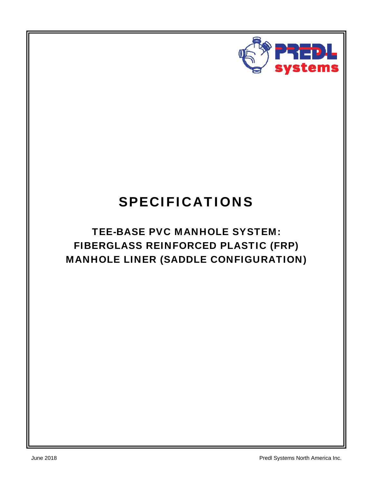

# SPECIFICATIONS

# TEE-BASE PVC MANHOLE SYSTEM: FIBERGLASS REINFORCED PLASTIC (FRP) MANHOLE LINER (SADDLE CONFIGURATION)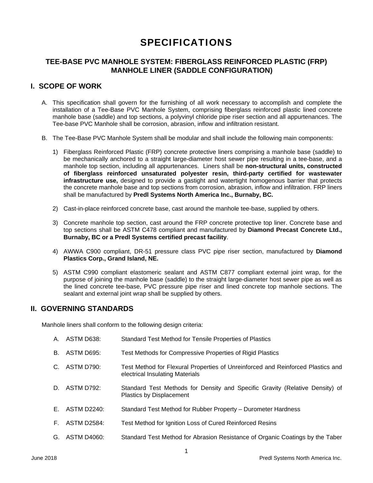# SPECIFICATIONS

# **TEE-BASE PVC MANHOLE SYSTEM: FIBERGLASS REINFORCED PLASTIC (FRP) MANHOLE LINER (SADDLE CONFIGURATION)**

# **I. SCOPE OF WORK**

- A. This specification shall govern for the furnishing of all work necessary to accomplish and complete the installation of a Tee-Base PVC Manhole System, comprising fiberglass reinforced plastic lined concrete manhole base (saddle) and top sections, a polyvinyl chloride pipe riser section and all appurtenances. The Tee-base PVC Manhole shall be corrosion, abrasion, inflow and infiltration resistant.
- B. The Tee-Base PVC Manhole System shall be modular and shall include the following main components:
	- 1) Fiberglass Reinforced Plastic (FRP) concrete protective liners comprising a manhole base (saddle) to be mechanically anchored to a straight large-diameter host sewer pipe resulting in a tee-base, and a manhole top section, including all appurtenances. Liners shall be **non-structural units, constructed of fiberglass reinforced unsaturated polyester resin, third-party certified for wastewater infrastructure use,** designed to provide a gastight and watertight homogenous barrier that protects the concrete manhole base and top sections from corrosion, abrasion, inflow and infiltration. FRP liners shall be manufactured by **Predl Systems North America Inc., Burnaby, BC.**
	- 2) Cast-in-place reinforced concrete base, cast around the manhole tee-base, supplied by others.
	- 3) Concrete manhole top section, cast around the FRP concrete protective top liner. Concrete base and top sections shall be ASTM C478 compliant and manufactured by **Diamond Precast Concrete Ltd., Burnaby, BC or a Predl Systems certified precast facility**.
	- 4) AWWA C900 compliant, DR-51 pressure class PVC pipe riser section, manufactured by **Diamond Plastics Corp., Grand Island, NE.**
	- 5) ASTM C990 compliant elastomeric sealant and ASTM C877 compliant external joint wrap, for the purpose of joining the manhole base (saddle) to the straight large-diameter host sewer pipe as well as the lined concrete tee-base, PVC pressure pipe riser and lined concrete top manhole sections. The sealant and external joint wrap shall be supplied by others.

### **II. GOVERNING STANDARDS**

Manhole liners shall conform to the following design criteria:

|             | A. ASTM D638:      | Standard Test Method for Tensile Properties of Plastics                                                            |
|-------------|--------------------|--------------------------------------------------------------------------------------------------------------------|
| В.          | ASTM D695:         | Test Methods for Compressive Properties of Rigid Plastics                                                          |
| $C_{\cdot}$ | <b>ASTM D790:</b>  | Test Method for Flexural Properties of Unreinforced and Reinforced Plastics and<br>electrical Insulating Materials |
| D.          | ASTM D792:         | Standard Test Methods for Density and Specific Gravity (Relative Density) of<br><b>Plastics by Displacement</b>    |
|             | $E.$ ASTM D2240:   | Standard Test Method for Rubber Property – Durometer Hardness                                                      |
| E.          | <b>ASTM D2584:</b> | Test Method for Ignition Loss of Cured Reinforced Resins                                                           |
| G.          | ASTM D4060:        | Standard Test Method for Abrasion Resistance of Organic Coatings by the Taber                                      |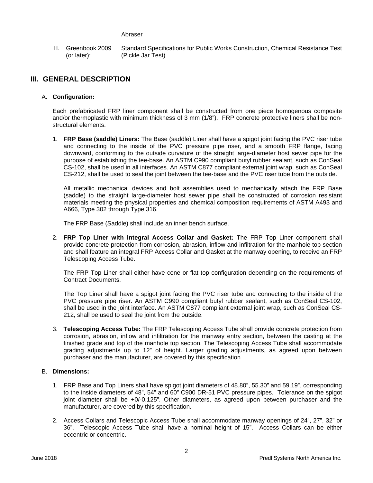#### Abraser

H. Greenbook 2009 (or later): Standard Specifications for Public Works Construction, Chemical Resistance Test (Pickle Jar Test)

# **III. GENERAL DESCRIPTION**

#### A. **Configuration:**

Each prefabricated FRP liner component shall be constructed from one piece homogenous composite and/or thermoplastic with minimum thickness of 3 mm (1/8"). FRP concrete protective liners shall be nonstructural elements.

1. **FRP Base (saddle) Liners:** The Base (saddle) Liner shall have a spigot joint facing the PVC riser tube and connecting to the inside of the PVC pressure pipe riser, and a smooth FRP flange, facing downward, conforming to the outside curvature of the straight large-diameter host sewer pipe for the purpose of establishing the tee-base. An ASTM C990 compliant butyl rubber sealant, such as ConSeal CS-102, shall be used in all interfaces. An ASTM C877 compliant external joint wrap, such as ConSeal CS-212, shall be used to seal the joint between the tee-base and the PVC riser tube from the outside.

All metallic mechanical devices and bolt assemblies used to mechanically attach the FRP Base (saddle) to the straight large-diameter host sewer pipe shall be constructed of corrosion resistant materials meeting the physical properties and chemical composition requirements of ASTM A493 and A666, Type 302 through Type 316.

The FRP Base (Saddle) shall include an inner bench surface.

2. **FRP Top Liner with integral Access Collar and Gasket:** The FRP Top Liner component shall provide concrete protection from corrosion, abrasion, inflow and infiltration for the manhole top section and shall feature an integral FRP Access Collar and Gasket at the manway opening, to receive an FRP Telescoping Access Tube.

The FRP Top Liner shall either have cone or flat top configuration depending on the requirements of Contract Documents.

The Top Liner shall have a spigot joint facing the PVC riser tube and connecting to the inside of the PVC pressure pipe riser. An ASTM C990 compliant butyl rubber sealant, such as ConSeal CS-102, shall be used in the joint interface. An ASTM C877 compliant external joint wrap, such as ConSeal CS-212, shall be used to seal the joint from the outside.

3. **Telescoping Access Tube:** The FRP Telescoping Access Tube shall provide concrete protection from corrosion, abrasion, inflow and infiltration for the manway entry section, between the casting at the finished grade and top of the manhole top section. The Telescoping Access Tube shall accommodate grading adjustments up to 12" of height. Larger grading adjustments, as agreed upon between purchaser and the manufacturer, are covered by this specification

#### B. **Dimensions:**

- 1. FRP Base and Top Liners shall have spigot joint diameters of 48.80", 55.30" and 59.19", corresponding to the inside diameters of 48", 54" and 60" C900 DR-51 PVC pressure pipes. Tolerance on the spigot joint diameter shall be +0/-0.125". Other diameters, as agreed upon between purchaser and the manufacturer, are covered by this specification.
- 2. Access Collars and Telescopic Access Tube shall accommodate manway openings of 24", 27", 32" or 36". Telescopic Access Tube shall have a nominal height of 15". Access Collars can be either eccentric or concentric.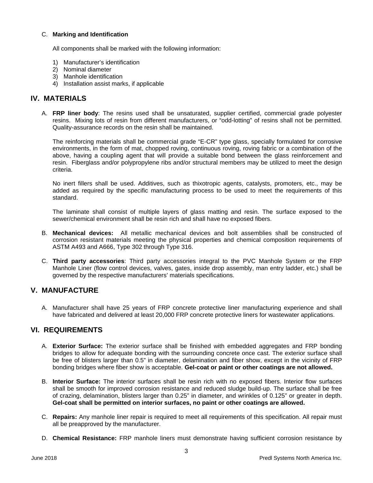#### C. **Marking and Identification**

All components shall be marked with the following information:

- 1) Manufacturer's identification
- 2) Nominal diameter
- 3) Manhole identification
- 4) Installation assist marks, if applicable

### **IV. MATERIALS**

A. **FRP liner body**: The resins used shall be unsaturated, supplier certified, commercial grade polyester resins. Mixing lots of resin from different manufacturers, or "odd-lotting" of resins shall not be permitted*.* Quality-assurance records on the resin shall be maintained.

The reinforcing materials shall be commercial grade "E-CR" type glass, specially formulated for corrosive environments, in the form of mat, chopped roving, continuous roving, roving fabric or a combination of the above, having a coupling agent that will provide a suitable bond between the glass reinforcement and resin. Fiberglass and/or polypropylene ribs and/or structural members may be utilized to meet the design criteria.

No inert fillers shall be used. Additives, such as thixotropic agents, catalysts, promoters, etc., may be added as required by the specific manufacturing process to be used to meet the requirements of this standard.

The laminate shall consist of multiple layers of glass matting and resin. The surface exposed to the sewer/chemical environment shall be resin rich and shall have no exposed fibers.

- B. **Mechanical devices:** All metallic mechanical devices and bolt assemblies shall be constructed of corrosion resistant materials meeting the physical properties and chemical composition requirements of ASTM A493 and A666, Type 302 through Type 316.
- C. **Third party accessories**: Third party accessories integral to the PVC Manhole System or the FRP Manhole Liner (flow control devices, valves, gates, inside drop assembly, man entry ladder, etc.) shall be governed by the respective manufacturers' materials specifications.

# **V. MANUFACTURE**

A. Manufacturer shall have 25 years of FRP concrete protective liner manufacturing experience and shall have fabricated and delivered at least 20,000 FRP concrete protective liners for wastewater applications.

# **VI. REQUIREMENTS**

- A. **Exterior Surface:** The exterior surface shall be finished with embedded aggregates and FRP bonding bridges to allow for adequate bonding with the surrounding concrete once cast. The exterior surface shall be free of blisters larger than 0.5" in diameter, delamination and fiber show, except in the vicinity of FRP bonding bridges where fiber show is acceptable. **Gel-coat or paint or other coatings are not allowed.**
- B. **Interior Surface:** The interior surfaces shall be resin rich with no exposed fibers. Interior flow surfaces shall be smooth for improved corrosion resistance and reduced sludge build-up. The surface shall be free of crazing, delamination, blisters larger than 0.25" in diameter, and wrinkles of 0.125" or greater in depth. **Gel-coat shall be permitted on interior surfaces, no paint or other coatings are allowed.**
- C. **Repairs:** Any manhole liner repair is required to meet all requirements of this specification. All repair must all be preapproved by the manufacturer.
- D. **Chemical Resistance:** FRP manhole liners must demonstrate having sufficient corrosion resistance by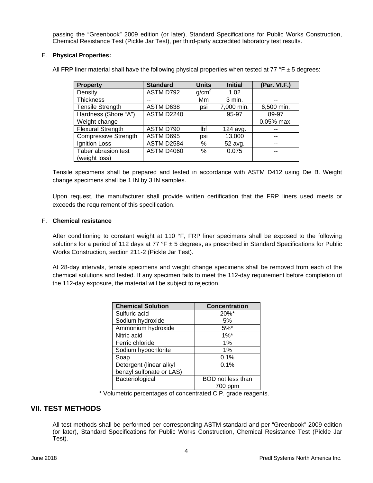passing the "Greenbook" 2009 edition (or later), Standard Specifications for Public Works Construction, Chemical Resistance Test (Pickle Jar Test), per third-party accredited laboratory test results.

#### E. **Physical Properties:**

All FRP liner material shall have the following physical properties when tested at 77 °F  $\pm$  5 degrees:

| <b>Property</b>             | <b>Standard</b>   | <b>Units</b>      | <b>Initial</b> | (Par. VI.F.) |
|-----------------------------|-------------------|-------------------|----------------|--------------|
| Density                     | ASTM D792         | g/cm <sup>3</sup> | 1.02           |              |
| <b>Thickness</b>            |                   | Mm                | 3 min.         |              |
| <b>Tensile Strength</b>     | ASTM D638         | psi               | 7,000 min.     | 6,500 min.   |
| Hardness (Shore "A")        | ASTM D2240        |                   | 95-97          | 89-97        |
| Weight change               |                   |                   |                | $0.05%$ max. |
| <b>Flexural Strength</b>    | ASTM D790         | Ibf               | 124 avg.       |              |
| <b>Compressive Strength</b> | ASTM D695         | psi               | 13,000         | --           |
| Ignition Loss               | ASTM D2584        | %                 | 52 avg.        |              |
| Taber abrasion test         | <b>ASTM D4060</b> | %                 | 0.075          |              |
| (weight loss)               |                   |                   |                |              |

Tensile specimens shall be prepared and tested in accordance with ASTM D412 using Die B. Weight change specimens shall be 1 IN by 3 IN samples.

Upon request, the manufacturer shall provide written certification that the FRP liners used meets or exceeds the requirement of this specification.

#### F. **Chemical resistance**

After conditioning to constant weight at 110 °F, FRP liner specimens shall be exposed to the following solutions for a period of 112 days at 77  $\textdegree$   $\textdegree$  ± 5 degrees, as prescribed in Standard Specifications for Public Works Construction, section 211-2 (Pickle Jar Test).

At 28-day intervals, tensile specimens and weight change specimens shall be removed from each of the chemical solutions and tested. If any specimen fails to meet the 112-day requirement before completion of the 112-day exposure, the material will be subject to rejection.

| <b>Chemical Solution</b> | <b>Concentration</b> |  |  |
|--------------------------|----------------------|--|--|
| Sulfuric acid            | 20%*                 |  |  |
| Sodium hydroxide         | 5%                   |  |  |
| Ammonium hydroxide       | $5%^*$               |  |  |
| Nitric acid              | $1\%$ <sup>*</sup>   |  |  |
| Ferric chloride          | 1%                   |  |  |
| Sodium hypochlorite      | 1%                   |  |  |
| Soap                     | 0.1%                 |  |  |
| Detergent (linear alkyl  | 0.1%                 |  |  |
| benzyl sulfonate or LAS) |                      |  |  |
| Bacteriological          | BOD not less than    |  |  |
|                          | 700 ppm              |  |  |

\* Volumetric percentages of concentrated C.P. grade reagents.

#### **VII. TEST METHODS**

All test methods shall be performed per corresponding ASTM standard and per "Greenbook" 2009 edition (or later), Standard Specifications for Public Works Construction, Chemical Resistance Test (Pickle Jar Test).